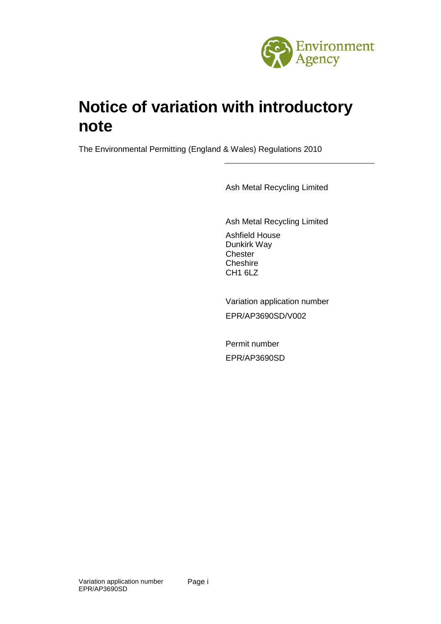

# **Notice of variation with introductory note**

The Environmental Permitting (England & Wales) Regulations 2010

Ash Metal Recycling Limited

Ash Metal Recycling Limited Ashfield House Dunkirk Way **Chester Cheshire** [CH1 6LZ](http://www.multimap.com/map/browse.cgi?pc=CH1+6LZ&quicksearch=CH1+6LZ)

Variation application number EPR/AP3690SD/V002

Permit number EPR/AP3690SD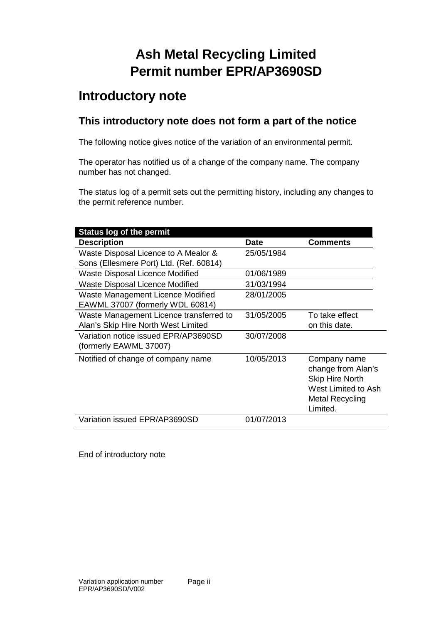## **Ash Metal Recycling Limited Permit number EPR/AP3690SD**

### **Introductory note**

### **This introductory note does not form a part of the notice**

The following notice gives notice of the variation of an environmental permit.

The operator has notified us of a change of the company name. The company number has not changed.

The status log of a permit sets out the permitting history, including any changes to the permit reference number.

| <b>Status log of the permit</b>         |             |                            |
|-----------------------------------------|-------------|----------------------------|
| <b>Description</b>                      | <b>Date</b> | <b>Comments</b>            |
| Waste Disposal Licence to A Mealor &    | 25/05/1984  |                            |
| Sons (Ellesmere Port) Ltd. (Ref. 60814) |             |                            |
| Waste Disposal Licence Modified         | 01/06/1989  |                            |
| Waste Disposal Licence Modified         | 31/03/1994  |                            |
| Waste Management Licence Modified       | 28/01/2005  |                            |
| EAWML 37007 (formerly WDL 60814)        |             |                            |
| Waste Management Licence transferred to | 31/05/2005  | To take effect             |
| Alan's Skip Hire North West Limited     |             | on this date.              |
| Variation notice issued EPR/AP3690SD    | 30/07/2008  |                            |
| (formerly EAWML 37007)                  |             |                            |
| Notified of change of company name      | 10/05/2013  | Company name               |
|                                         |             | change from Alan's         |
|                                         |             | <b>Skip Hire North</b>     |
|                                         |             | <b>West Limited to Ash</b> |
|                                         |             | <b>Metal Recycling</b>     |
|                                         |             | Limited.                   |
| Variation issued EPR/AP3690SD           | 01/07/2013  |                            |

End of introductory note